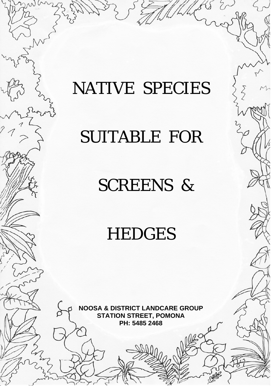# NATIVE SPECIES

## SUITABLE FOR

### SCREENS &

## **HEDGES**

**NOOSA & DISTRICT LANDCARE GROUP STATION STREET, POMONA PH: 5485 2468** 

2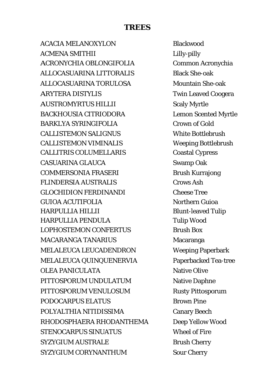#### **TREES**

ACACIA MELANOXYLON Blackwood ACMENA SMITHII Lilly-pilly ACRONYCHIA OBLONGIFOLIA Common Acronychia ALLOCASUARINA LITTORALIS Black She-oak ALLOCASUARINA TORULOSA Mountain She-oak ARYTERA DISTYLIS Twin Leaved Coogera AUSTROMYRTUS HILLII Scaly Myrtle BACKHOUSIA CITRIODORA Lemon Scented Myrtle BARKLYA SYRINGIFOLIA Crown of Gold CALLISTEMON SALIGNUS White Bottlebrush CALLISTEMON VIMINALIS Weeping Bottlebrush CALLITRIS COLUMELLARIS Coastal Cypress CASUARINA GLAUCA Swamp Oak COMMERSONIA FRASERI Brush Kurrajong FLINDERSIA AUSTRALIS Crows Ash GLOCHIDION FERDINANDI Cheese Tree GUIOA ACUTIFOLIA Northern Guioa HARPULLIA HILLII Blunt-leaved Tulip HARPULLIA PENDULA Tulip Wood LOPHOSTEMON CONFERTUS Brush Box MACARANGA TANARIUS Macaranga MELALEUCA LEUCADENDRON Weeping Paperbark MELALEUCA QUINQUENERVIA Paperbacked Tea-tree OLEA PANICULATA Native Olive PITTOSPORUM UNDULATUM Native Daphne PITTOSPORUM VENULOSUM Rusty Pittosporum PODOCARPUS ELATUS Brown Pine POLYALTHIA NITIDISSIMA Canary Beech RHODOSPHAERA RHODANTHEMA Deep Yellow Wood STENOCARPUS SINUATUS Wheel of Fire SYZYGIUM AUSTRALE Brush Cherry SYZYGIUM CORYNANTHUM Sour Cherry